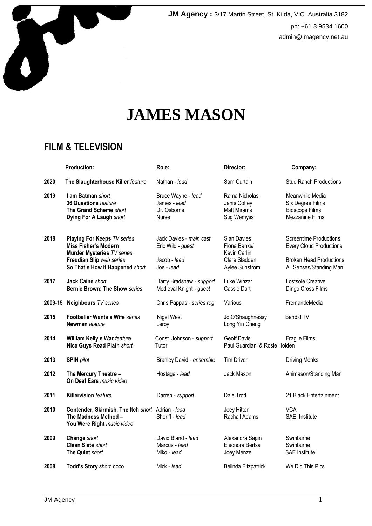

**JM Agency :** 3/17 Martin Street, St. Kilda, VIC. Australia 3182 ph: +61 3 9534 1600 admin@jmagency.net.au

# **JAMES MASON**

# **FILM & TELEVISION**

|      | <b>Production:</b>                                                                                                                                      | Role:                                                                      | Director:                                                                      | Company:                                                                                                              |
|------|---------------------------------------------------------------------------------------------------------------------------------------------------------|----------------------------------------------------------------------------|--------------------------------------------------------------------------------|-----------------------------------------------------------------------------------------------------------------------|
| 2020 | The Slaughterhouse Killer feature                                                                                                                       | Nathan - lead                                                              | Sam Curtain                                                                    | <b>Stud Ranch Productions</b>                                                                                         |
| 2019 | I am Batman short<br>36 Questions feature<br>The Grand Scheme short<br>Dying For A Laugh short                                                          | Bruce Wayne - lead<br>James - lead<br>Dr. Osborne<br>Nurse                 | Rama Nicholas<br>Janis Coffey<br><b>Matt Mirams</b><br>Stig Wemyss             | Meanwhile Media<br>Six Degree Films<br><b>Bioscope Films</b><br><b>Mezzanine Films</b>                                |
| 2018 | Playing For Keeps TV series<br>Miss Fisher's Modern<br><b>Murder Mysteries TV series</b><br>Freudian Slip web series<br>So That's How It Happened short | Jack Davies - main cast<br>Eric Wild - guest<br>Jacob - lead<br>Joe - lead | Sian Davies<br>Fiona Banks/<br>Kevin Carlin<br>Clare Sladden<br>Aylee Sunstrom | Screentime Productions<br><b>Every Cloud Productions</b><br><b>Broken Head Productions</b><br>All Senses/Standing Man |
| 2017 | Jack Caine short<br><b>Bernie Brown: The Show series</b>                                                                                                | Harry Bradshaw - support<br>Medieval Knight - guest                        | Luke Winzar<br>Cassie Dart                                                     | Lostsole Creative<br>Dingo Cross Films                                                                                |
|      | 2009-15 Neighbours TV series                                                                                                                            | Chris Pappas - series reg                                                  | Various                                                                        | FremantleMedia                                                                                                        |
| 2015 | Footballer Wants a Wife series<br>Newman feature                                                                                                        | Nigel West<br>Leroy                                                        | Jo O'Shaughnessy<br>Long Yin Cheng                                             | Bendid TV                                                                                                             |
| 2014 | William Kelly's War feature<br>Nice Guys Read Plath short                                                                                               | Const. Johnson - support<br>Tutor                                          | Geoff Davis<br>Paul Guardiani & Rosie Holden                                   | Fragile Films                                                                                                         |
| 2013 | <b>SPIN</b> pilot                                                                                                                                       | Branley David - ensemble                                                   | <b>Tim Driver</b>                                                              | <b>Driving Monks</b>                                                                                                  |
| 2012 | The Mercury Theatre -<br>On Deaf Ears music video                                                                                                       | Hostage - lead                                                             | Jack Mason                                                                     | Animason/Standing Man                                                                                                 |
| 2011 | <b>Killervision feature</b>                                                                                                                             | Darren - support                                                           | Dale Trott                                                                     | 21 Black Entertainment                                                                                                |
| 2010 | Contender, Skirmish, The Itch short Adrian - lead<br>The Madness Method -<br>You Were Right music video                                                 | Sheriff - lead                                                             | Joey Hitten<br>Rachall Adams                                                   | <b>VCA</b><br>SAE Institute                                                                                           |
| 2009 | Change short<br><b>Clean Slate short</b><br>The Quiet short                                                                                             | David Bland - lead<br>Marcus - lead<br>Miko - lead                         | Alexandra Sagin<br>Eleonora Bertsa<br>Joey Menzel                              | Swinburne<br>Swinburne<br><b>SAE</b> Institute                                                                        |
| 2008 | Todd's Story short doco                                                                                                                                 | Mick - lead                                                                | Belinda Fitzpatrick                                                            | We Did This Pics                                                                                                      |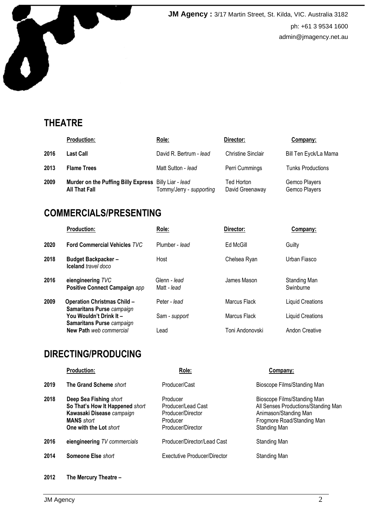

**JM Agency :** 3/17 Martin Street, St. Kilda, VIC. Australia 3182 ph: +61 3 9534 1600 admin@jmagency.net.au

# **THEATRE**

|      | <b>Production:</b>                                                            | Role:                    | Director:                     | Company:                       |
|------|-------------------------------------------------------------------------------|--------------------------|-------------------------------|--------------------------------|
| 2016 | <b>Last Call</b>                                                              | David R. Bertrum - lead  | <b>Christine Sinclair</b>     | Bill Ten Eyck/La Mama          |
| 2013 | <b>Flame Trees</b>                                                            | Matt Sutton - lead       | Perri Cummings                | <b>Tunks Productions</b>       |
| 2009 | Murder on the Puffing Billy Express Billy Liar - lead<br><b>All That Fall</b> | Tommy/Jerry - supporting | Ted Horton<br>David Greenaway | Gemco Players<br>Gemco Players |

#### **COMMERCIALS/PRESENTING**

|      | <b>Production:</b>                                                     | Role:                       | Director:       | Company:                  |
|------|------------------------------------------------------------------------|-----------------------------|-----------------|---------------------------|
| 2020 | <b>Ford Commercial Vehicles TVC</b>                                    | Plumber - lead              | Ed McGill       | Guilty                    |
| 2018 | <b>Budget Backpacker-</b><br><b>Iceland</b> travel doco                | Host                        | Chelsea Ryan    | Urban Fiasco              |
| 2016 | eiengineering TVC<br>Positive Connect Campaign app                     | Glenn - lead<br>Matt - lead | James Mason     | Standing Man<br>Swinburne |
| 2009 | <b>Operation Christmas Child -</b><br><b>Samaritans Purse</b> campaign | Peter - lead                | Marcus Flack    | <b>Liquid Creations</b>   |
|      | You Wouldn't Drink It -<br><b>Samaritans Purse</b> campaign            | Sam - support               | Marcus Flack    | <b>Liquid Creations</b>   |
|      | New Path web commercial                                                | Lead                        | Toni Andonovski | Andon Creative            |

# **DIRECTING/PRODUCING**

|      | <b>Production:</b>                                                                                                                    | Role:                                                                                | Company:                                                                                                                                  |
|------|---------------------------------------------------------------------------------------------------------------------------------------|--------------------------------------------------------------------------------------|-------------------------------------------------------------------------------------------------------------------------------------------|
| 2019 | The Grand Scheme short                                                                                                                | Producer/Cast                                                                        | Bioscope Films/Standing Man                                                                                                               |
| 2018 | Deep Sea Fishing short<br>So That's How It Happened short<br>Kawasaki Disease campaign<br><b>MANS</b> short<br>One with the Lot short | Producer<br>Producer/Lead Cast<br>Producer/Director<br>Producer<br>Producer/Director | Bioscope Films/Standing Man<br>All Senses Productions/Standing Man<br>Animason/Standing Man<br>Frogmore Road/Standing Man<br>Standing Man |
| 2016 | eiengineering TV commercials                                                                                                          | Producer/Director/Lead Cast                                                          | Standing Man                                                                                                                              |
| 2014 | <b>Someone Else short</b>                                                                                                             | Exectutive Producer/Director                                                         | Standing Man                                                                                                                              |

**2012 The Mercury Theatre –**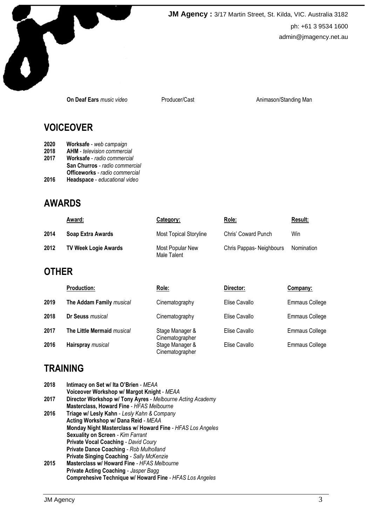

**JM Agency :** 3/17 Martin Street, St. Kilda, VIC. Australia 3182 ph: +61 3 9534 1600 admin@jmagency.net.au

**On Deaf Ears** *music video* Producer/Cast **Animason/Standing Man** 

#### **VOICEOVER**

- **2020 Worksafe**  *web campaign*
- **2018 AHM**  *television commercial*
- **2017 Worksafe**  *radio commercial*
- **San Churros** *radio commercial*
- **Officeworks** *radio commercial*<br>**2016** Headspace *educational video*
- **2016 Headspace**  *educational video*

## **AWARDS**

|      | <u>Award:</u>               | Category:                       | Role:                   | Result:    |
|------|-----------------------------|---------------------------------|-------------------------|------------|
| 2014 | Soap Extra Awards           | <b>Most Topical Storyline</b>   | Chris' Coward Punch     | Win        |
| 2012 | <b>TV Week Logie Awards</b> | Most Popular New<br>Male Talent | Chris Pappas-Neighbours | Nomination |

# **OTHER**

|      | <b>Production:</b>         | Role:                              | Director:     | Company:              |
|------|----------------------------|------------------------------------|---------------|-----------------------|
| 2019 | The Addam Family musical   | Cinematography                     | Elise Cavallo | <b>Emmaus College</b> |
| 2018 | Dr Seuss musical           | Cinematography                     | Elise Cavallo | <b>Emmaus College</b> |
| 2017 | The Little Mermaid musical | Stage Manager &<br>Cinematographer | Elise Cavallo | <b>Emmaus College</b> |
| 2016 | Hairspray musical          | Stage Manager &<br>Cinematographer | Elise Cavallo | <b>Emmaus College</b> |

## **TRAINING**

| 2018 | Intimacy on Set w/ Ita O'Brien - MEAA                      |  |  |
|------|------------------------------------------------------------|--|--|
|      | Voiceover Workshop w/ Margot Knight - MEAA                 |  |  |
| 2017 | Director Workshop w/ Tony Ayres - Melbourne Acting Academy |  |  |
|      | Masterclass, Howard Fine - HFAS Melbourne                  |  |  |
| 2016 | Triage w/ Lesly Kahn - Lesly Kahn & Company                |  |  |
|      | Acting Workshop w/ Dana Reid - MEAA                        |  |  |
|      | Monday Night Masterclass w/ Howard Fine - HFAS Los Angeles |  |  |
|      | <b>Sexuality on Screen - Kim Farrant</b>                   |  |  |
|      | <b>Private Vocal Coaching - David Coury</b>                |  |  |
|      | <b>Private Dance Coaching - Rob Mulholland</b>             |  |  |
|      | <b>Private Singing Coaching - Sally McKenzie</b>           |  |  |
| 2015 | Masterclass w/ Howard Fine - HFAS Melbourne                |  |  |
|      | <b>Private Acting Coaching - Jasper Bagg</b>               |  |  |
|      | Comprehesive Technique w/ Howard Fine - HFAS Los Angeles   |  |  |